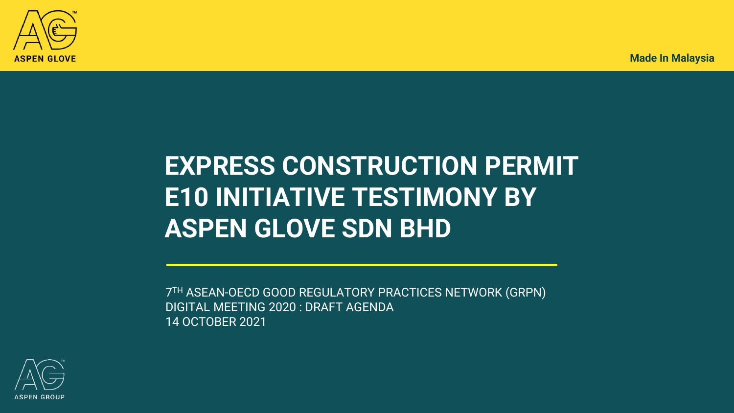

## **EXPRESS CONSTRUCTION PERMIT E10 INITIATIVE TESTIMONY BY ASPEN GLOVE SDN BHD**

7 TH ASEAN-OECD GOOD REGULATORY PRACTICES NETWORK (GRPN) DIGITAL MEETING 2020 : DRAFT AGENDA 14 OCTOBER 2021

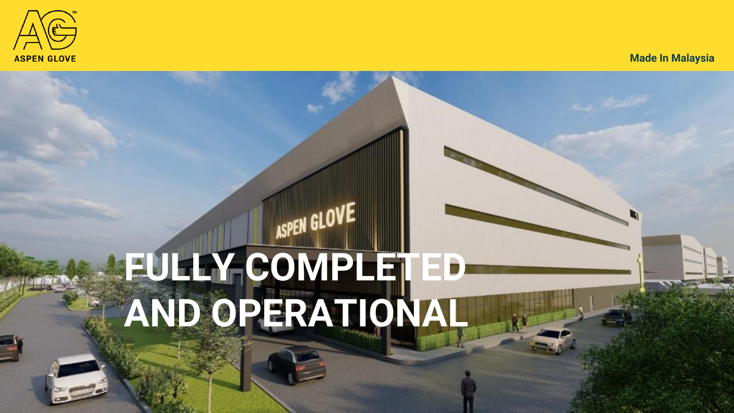

# **FULLY COMPLETED AND OPERATIONAL**

ASPEN GLOVE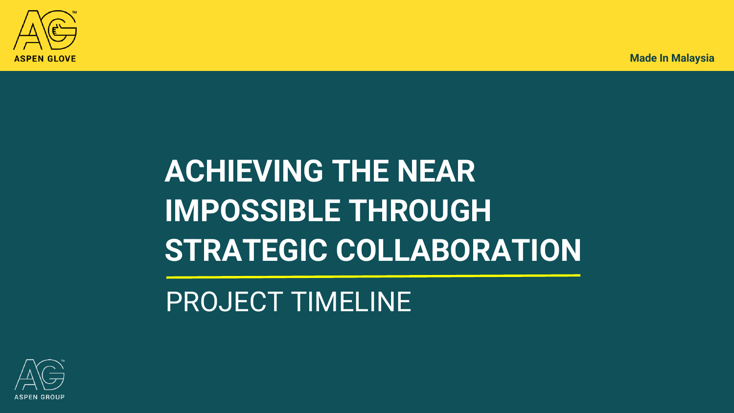

# **ACHIEVING THE NEAR IMPOSSIBLE THROUGH STRATEGIC COLLABORATION**

### PROJECT TIMELINE

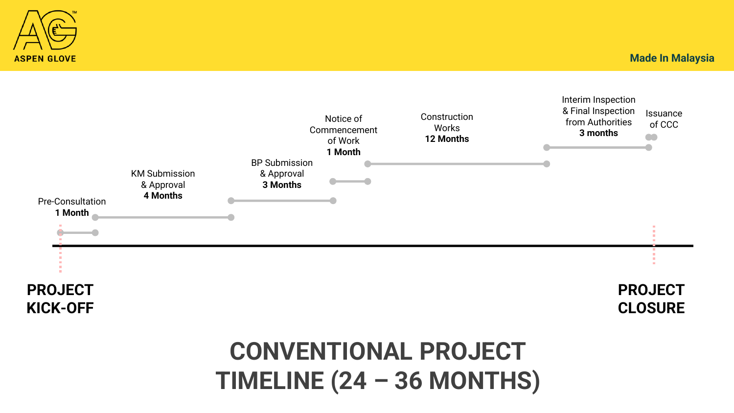

# **ASPEN GLOVE**

**Made In Malaysia**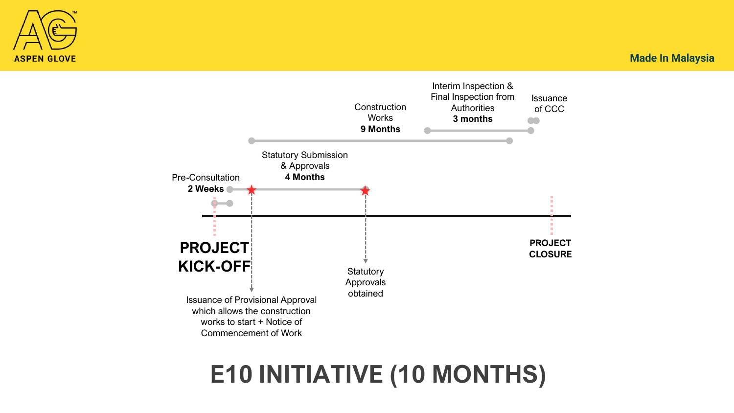



### **E10 INITIATIVE (10 MONTHS)**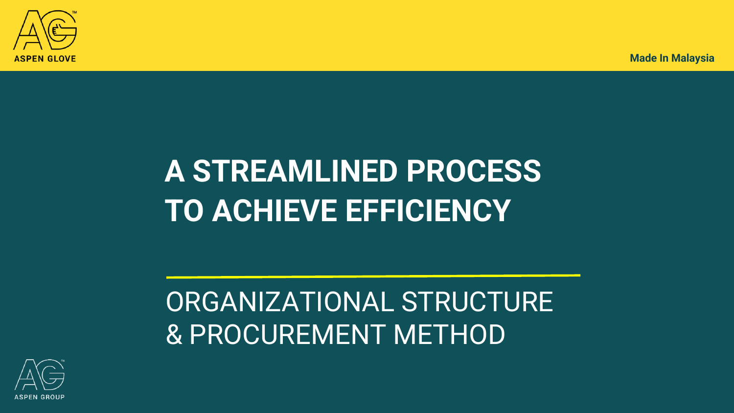

## **A STREAMLINED PROCESS TO ACHIEVE EFFICIENCY**

## ORGANIZATIONAL STRUCTURE & PROCUREMENT METHOD

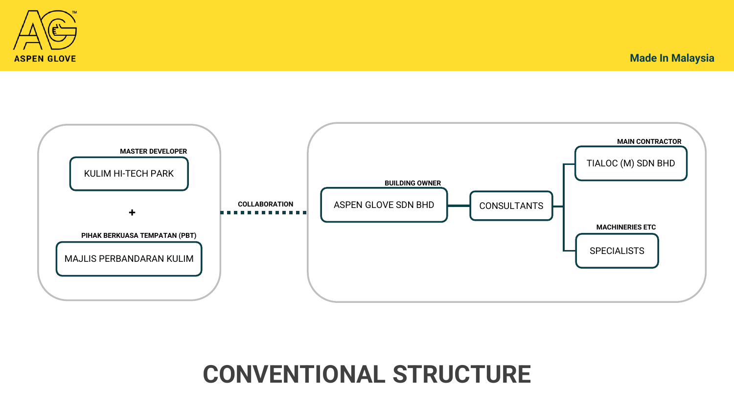#### **CONVENTIONAL STRUCTURE**





**Made In Malaysia**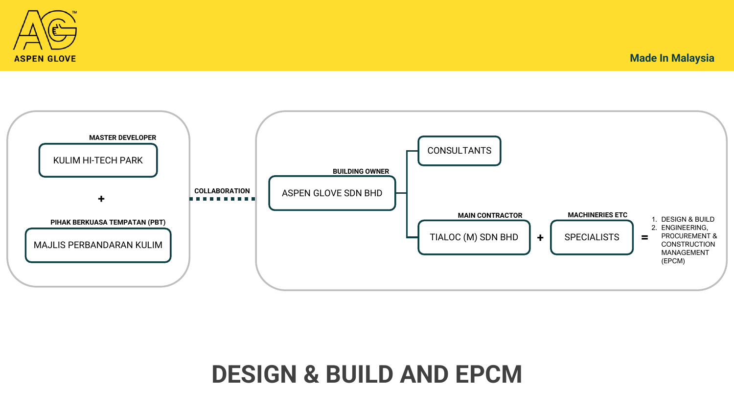



#### **DESIGN & BUILD AND EPCM**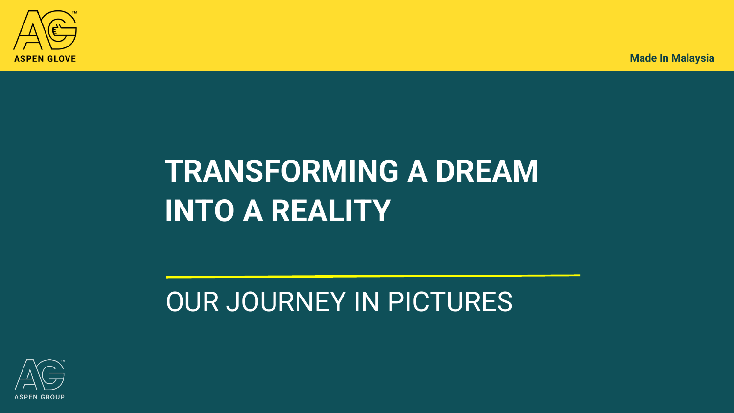

## **TRANSFORMING A DREAM INTO A REALITY**

## OUR JOURNEY IN PICTURES

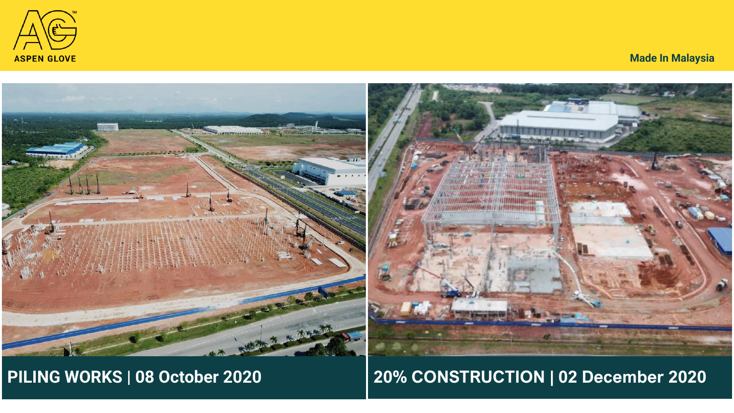

**3**



#### **PILING WORKS | 08 October 2020**

#### **20% CONSTRUCTION | 02 December 2020**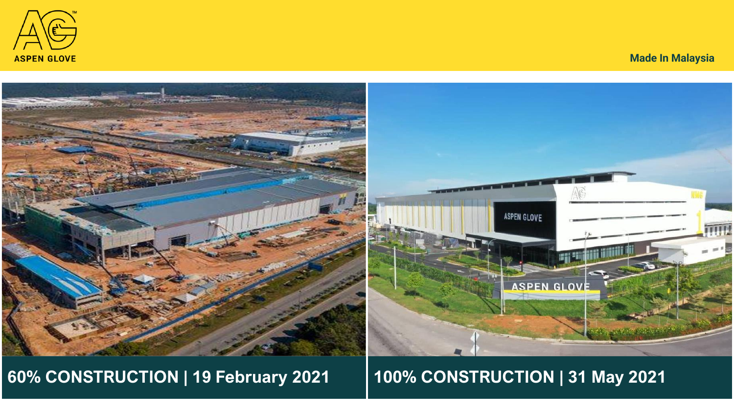

**3**



#### **60% CONSTRUCTION | 19 February 2021**

#### **100% CONSTRUCTION | 31 May 2021**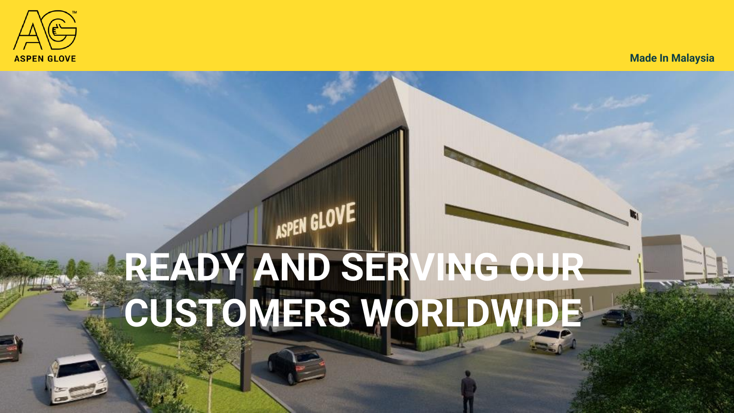

# **READY AND SERVING OUR CUSTOMERS WORLDWIDE**

ASPEN GLOVE